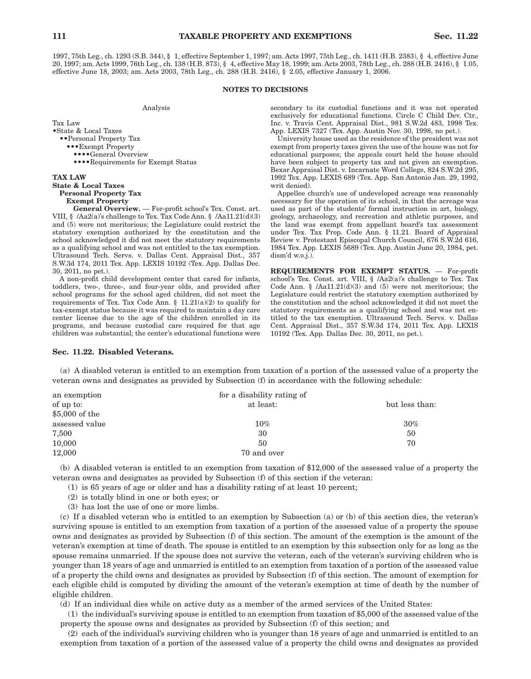1997, 75th Leg., ch. 1293 (S.B. 344), § 1, effective September 1, 1997; am. Acts 1997, 75th Leg., ch. 1411 (H.B. 2383), § 4, effective June 20, 1997; am. Acts 1999, 76th Leg., ch. 138 (H.B. 873), § 4, effective May 18, 1999; am. Acts 2003, 78th Leg., ch. 288 (H.B. 2416), § 1.05, effective June 18, 2003; am. Acts 2003, 78th Leg., ch. 288 (H.B. 2416), § 2.05, effective January 1, 2006.

### **NOTES TO DECISIONS**

Analysis

Tax Law •State & Local Taxes ••Personal Property Tax •••Exempt Property ••••General Overview ••••Requirements for Exempt Status

# **TAX LAW State & Local Taxes Personal Property Tax Exempt Property**

**General Overview.** — For-profit school's Tex. Const. art. VIII, § /Aa2(a)'s challenge to Tex. Tax Code Ann. § /Aa11.21(d)(3) and (5) were not meritorious; the Legislature could restrict the statutory exemption authorized by the constitution and the school acknowledged it did not meet the statutory requirements as a qualifying school and was not entitled to the tax exemption. Ultrasound Tech. Servs. v. Dallas Cent. Appraisal Dist., 357 S.W.3d 174, 2011 Tex. App. LEXIS 10192 (Tex. App. Dallas Dec. 30, 2011, no pet.).

A non-profit child development center that cared for infants, toddlers, two-, three-, and four-year olds, and provided after school programs for the school aged children, did not meet the requirements of Tex. Tax Code Ann.  $\S$  11.21(a)(2) to qualify for tax-exempt status because it was required to maintain a day care center license due to the age of the children enrolled in its programs, and because custodial care required for that age children was substantial; the center's educational functions were secondary to its custodial functions and it was not operated exclusively for educational functions. Circle C Child Dev. Ctr., Inc. v. Travis Cent. Appraisal Dist., 981 S.W.2d 483, 1998 Tex. App. LEXIS 7327 (Tex. App. Austin Nov. 30, 1998, no pet.).

University house used as the residence of the president was not exempt from property taxes given the use of the house was not for educational purposes; the appeals court held the house should have been subject to property tax and not given an exemption. Bexar Appraisal Dist. v. Incarnate Word College, 824 S.W.2d 295, 1992 Tex. App. LEXIS 689 (Tex. App. San Antonio Jan. 29, 1992, writ denied).

Appellee church's use of undeveloped acreage was reasonably necessary for the operation of its school, in that the acreage was used as part of the students' formal instruction in art, biology, geology, archaeology, and recreation and athletic purposes, and the land was exempt from appellant board's tax assessment under Tex. Tax Prop. Code Ann. § 11.21. Board of Appraisal Review v. Protestant Episcopal Church Council, 676 S.W.2d 616, 1984 Tex. App. LEXIS 5689 (Tex. App. Austin June 20, 1984, pet. dism'd w.o.j.).

**REQUIREMENTS FOR EXEMPT STATUS.** — For-profit school's Tex. Const. art. VIII, § /Aa2(a)'s challenge to Tex. Tax Code Ann. § /Aa11.21(d)(3) and (5) were not meritorious; the Legislature could restrict the statutory exemption authorized by the constitution and the school acknowledged it did not meet the statutory requirements as a qualifying school and was not entitled to the tax exemption. Ultrasound Tech. Servs. v. Dallas Cent. Appraisal Dist., 357 S.W.3d 174, 2011 Tex. App. LEXIS 10192 (Tex. App. Dallas Dec. 30, 2011, no pet.).

### **Sec. 11.22. Disabled Veterans.**

(a) A disabled veteran is entitled to an exemption from taxation of a portion of the assessed value of a property the veteran owns and designates as provided by Subsection (f) in accordance with the following schedule:

| an exemption   | for a disability rating of |                |
|----------------|----------------------------|----------------|
| of up to:      | at least:                  | but less than: |
| \$5,000 of the |                            |                |
| assessed value | $10\%$                     | $30\%$         |
| 7,500          | 30                         | 50             |
| 10,000         | 50                         | 70             |
| 12,000         | 70 and over                |                |

(b) A disabled veteran is entitled to an exemption from taxation of \$12,000 of the assessed value of a property the veteran owns and designates as provided by Subsection (f) of this section if the veteran:

(1) is 65 years of age or older and has a disability rating of at least 10 percent;

- (2) is totally blind in one or both eyes; or
- (3) has lost the use of one or more limbs.

(c) If a disabled veteran who is entitled to an exemption by Subsection (a) or (b) of this section dies, the veteran's surviving spouse is entitled to an exemption from taxation of a portion of the assessed value of a property the spouse owns and designates as provided by Subsection (f) of this section. The amount of the exemption is the amount of the veteran's exemption at time of death. The spouse is entitled to an exemption by this subsection only for as long as the spouse remains unmarried. If the spouse does not survive the veteran, each of the veteran's surviving children who is younger than 18 years of age and unmarried is entitled to an exemption from taxation of a portion of the assessed value of a property the child owns and designates as provided by Subsection (f) of this section. The amount of exemption for each eligible child is computed by dividing the amount of the veteran's exemption at time of death by the number of eligible children.

(d) If an individual dies while on active duty as a member of the armed services of the United States:

(1) the individual's surviving spouse is entitled to an exemption from taxation of \$5,000 of the assessed value of the property the spouse owns and designates as provided by Subsection (f) of this section; and

(2) each of the individual's surviving children who is younger than 18 years of age and unmarried is entitled to an exemption from taxation of a portion of the assessed value of a property the child owns and designates as provided